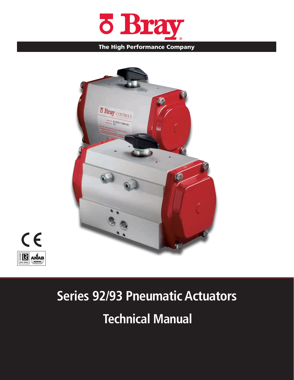

#### The High Performance Company





# **Technical Manual Series 92/93 Pneumatic Actuators**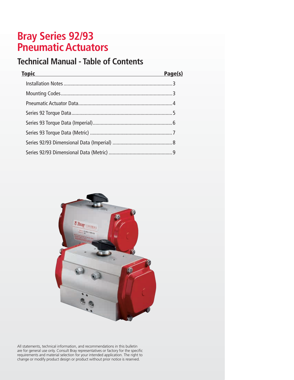# **Bray Series 92/93 Pneumatic Actuators**

## **Technical Manual - Table of Contents**

| <b>Topic</b> | Page(s) |
|--------------|---------|
|              |         |
|              |         |
|              |         |
|              |         |
|              |         |
|              |         |
|              |         |
|              |         |



All statements, technical information, and recommendations in this bulletin are for general use only. Consult Bray representatives or factory for the specific requirements and material selection for your intended application. The right to change or modify product design or product without prior notice is reserved.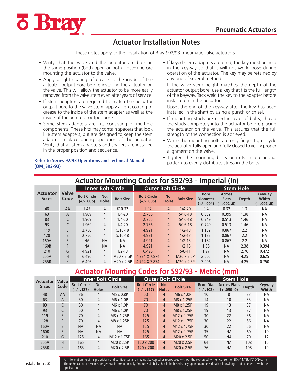

#### **Actuator Installation Notes**

These notes apply to the installation of Bray S92/93 pneumatic valve actuators.

- Verify that the valve and the actuator are both in the same position (both open or both closed) before mounting the actuator to the valve.
- Apply a light coating of grease to the inside of the actuator output bore before installing the actuator on the valve. This will allow the actuator to be more easily removed from the valve stem even after years of service.
- If stem adapters are required to match the actuator output bore to the valve stem, apply a light coating of grease to the inside of the stem adapter as well as the inside of the actuator output bore.
- Some stem adapters are kits consisting of multiple components. These kits may contain spacers that look like stem adapters, but are designed to keep the stem adapter in place during operation of the actuator. Verify that all stem adapters and spacers are installed in the proper position and sequence.

#### **Refer to Series 92/93 Operations and Technical Manual (OM\_S92-93)**

• If keyed stem adapters are used, the key must be held in the keyway so that it will not work loose during operation of the actuator. The key may be retained by any one of several methods:

If the valve stem height matches the depth of the actuator output bore, use a key that fits the full length of the keyway. Tack weld the key to the adapter before installation in the actuator.

Upset the end of the keyway after the key has been installed in the shaft by using a punch or chisel.

- If mounting studs are used instead of bolts, thread the studs completely into the actuator before placing the actuator on the valve. This assures that the full strength of the connection is achieved.
- While the mounting bolts are only finger tight, cycle the actuator fully open and fully closed to verify proper alignment on the valve.
- Tighten the mounting bolts or nuts in a diagonal pattern to evenly distribute stress in the bolts.

| Actuator Mounting Codes for S92/93 - Imperial (In) |                      |                                    |                     |                  |                                    |                     |                  |                                                |                                              |              |                                       |
|----------------------------------------------------|----------------------|------------------------------------|---------------------|------------------|------------------------------------|---------------------|------------------|------------------------------------------------|----------------------------------------------|--------------|---------------------------------------|
|                                                    |                      | <b>Inner Bolt Circle</b>           |                     |                  | <b>Outer Bolt Circle</b>           |                     |                  | <b>Stem Hole</b>                               |                                              |              |                                       |
| <b>Actuator</b><br><b>Sizes</b>                    | <b>Valve</b><br>Code | <b>Bolt Circle</b><br>$(+/- .005)$ | No.<br><b>Holes</b> | <b>Bolt Size</b> | <b>Bolt Circle</b><br>$(+/- .005)$ | No.<br><b>Holes</b> | <b>Bolt Size</b> | <b>Bore</b><br><b>Diameter</b><br>$(+/- .004)$ | <b>Across</b><br><b>Flats</b><br>$(+.002-0)$ | <b>Depth</b> | <b>Keyway</b><br>Width<br>$(+.002-0)$ |
| 48                                                 | AA                   | 1.42                               | 4                   | #10-32           | 1.97                               | $\overline{4}$      | $1/4 - 20$       | 0.4                                            | 0.32                                         | 1.3          | NA                                    |
| 63                                                 | A                    | 1.969                              | 4                   | $1/4 - 20$       | 2.756                              | $\overline{4}$      | $5/16-18$        | 0.552                                          | 0.395                                        | 1.38         | <b>NA</b>                             |
| 83                                                 | C                    | 1.969                              | 4                   | $1/4 - 20$       | 2.756                              | $\overline{4}$      | $5/16-18$        | 0.749                                          | 0.513                                        | 1.46         | NА                                    |
| 93                                                 |                      | 1.969                              | 4                   | $1/4 - 20$       | 2.756                              | $\overline{4}$      | $5/16-18$        | 0.749                                          | 0.513                                        | 1.46         | NA                                    |
| 119                                                | E                    | 2.756                              | 4                   | $5/16-18$        | 4.921                              | $\overline{4}$      | $1/2 - 13$       | 1.182                                          | 0.867                                        | 2.2          | <b>NA</b>                             |
| 128                                                | E                    | 2.756                              | 4                   | $5/16-18$        | 4.921                              | $\overline{4}$      | $1/2 - 13$       | 1.182                                          | 0.867                                        | 2.2          | <b>NA</b>                             |
| 160A                                               | F                    | <b>NA</b>                          | <b>NA</b>           | NA               | 4.921                              | $\overline{4}$      | $1/2 - 13$       | 1.182                                          | 0.867                                        | 2.2          | NA                                    |
| 160B                                               | F                    | <b>NA</b>                          | <b>NA</b>           | <b>NA</b>        | 4.921                              | $\overline{4}$      | $1/2 - 13$       | 1.38                                           | <b>NA</b>                                    | 2.38         | 0.394                                 |
| 210                                                | G                    | 4.921                              | 4                   | $1/2 - 13$       | 6.496                              | $\overline{4}$      | $5/8 - 11$       | 1.97                                           | <b>NA</b>                                    | 2.76         | 0.472                                 |
| 255A                                               | H.                   | 6.496                              | $\overline{4}$      | M20 x 2.5P       | 4.724 X 7.874                      | $\overline{4}$      | M20 x 2.5P       | 2.505                                          | <b>NA</b>                                    | 4.25         | 0.625                                 |
| 255B                                               | K                    | 6.496                              | 4                   | M20 x 2.5P       | 4.724 X 7.874                      | 4                   | M20 x 2.5P       | 3.006                                          | <b>NA</b>                                    | 4.25         | 0.750                                 |

# **Actuator Mounting Codes for S92/93 - Imperial (In)**

#### **Actuator Mounting Codes for S92/93 - Metric (mm)**

| <b>Actuator</b> | <b>Valve</b> |                                    |                     | <b>Inner Bolt Circle</b> |                                    |                     | <b>Outer Bolt Circle</b> | <b>Stem Hole</b>                |                                     |              |                        |
|-----------------|--------------|------------------------------------|---------------------|--------------------------|------------------------------------|---------------------|--------------------------|---------------------------------|-------------------------------------|--------------|------------------------|
| <b>Sizes</b>    | Code         | <b>Bolt Circle</b><br>$(+/- .127)$ | No.<br><b>Holes</b> | <b>Bolt Size</b>         | <b>Bolt Circle</b><br>$(+/- .127)$ | No.<br><b>Holes</b> | <b>Bolt Size</b>         | <b>Bore Dia.</b><br>$(+/-.102)$ | <b>Across Flats</b><br>$(+.050-.0)$ | <b>Depth</b> | <b>Keyway</b><br>Width |
| 48              | AA           | 36                                 | 4                   | M5 x 0.8P                | 50                                 | $\overline{4}$      | M6 x 1.0P                | 10                              | 8                                   | 33           | <b>NA</b>              |
| 63              | A            | 50                                 | 4                   | M6 x 1.0P                | 70                                 | $\overline{4}$      | M8 x 1.25P               | 14                              | 10                                  | 35           | <b>NA</b>              |
| 83              | C            | 50                                 | 4                   | M6 x 1.0P                | 70                                 | $\overline{4}$      | M8 x 1.25P               | 19                              | 13                                  | 37           | <b>NA</b>              |
| 93              | C            | 50                                 | 4                   | $M6 \times 1.0P$         | 70                                 | $\overline{4}$      | M8 x 1.25P               | 19                              | 13                                  | 37           | <b>NA</b>              |
| 119             | E            | 70                                 | $\overline{4}$      | M8 x 1.25P               | 125                                | $\overline{4}$      | M <sub>12</sub> x 1.75P  | 30                              | 22                                  | 56           | <b>NA</b>              |
| 128             | E            | 70                                 | 4                   | M8 x 1.25P               | 125                                | $\overline{4}$      | M <sub>12</sub> x 1.75P  | 30                              | 22                                  | 56           | <b>NA</b>              |
| 160A            | E            | <b>NA</b>                          | <b>NA</b>           | <b>NA</b>                | 125                                | $\overline{4}$      | M <sub>12</sub> x 1.75P  | 30                              | 22                                  | 56           | <b>NA</b>              |
| 160B            | F            | <b>NA</b>                          | <b>NA</b>           | <b>NA</b>                | 125                                | $\overline{4}$      | M <sub>12</sub> x 1.75P  | 35                              | <b>NA</b>                           | 60           | 10                     |
| 210             | G            | 125                                | 4                   | M <sub>12</sub> x 1.75P  | 165                                | $\overline{4}$      | M20 x 2.5P               | 50                              | <b>NA</b>                           | 70           | 12                     |
| 255A            | H            | 165                                | 4                   | M20 x 2.5P               | 120 x 200                          | $\overline{4}$      | M20 x 2.5P               | 64                              | <b>NA</b>                           | 108          | 16                     |
| 255B            | K            | 165                                | 4                   | M20 x 2.5P               | 120 x 200                          | $\overline{4}$      | M20 x 2.5P               | 76                              | <b>NA</b>                           | 108          | 19                     |

All information herein is proprietary and confidential and may not be copied or reproduced without the expressed written consent of BRAY INTERNATIONAL, Inc. The technical data herein is for general information only. Product suitability should be based solely upon customer's detailed knowledge and experience with their application.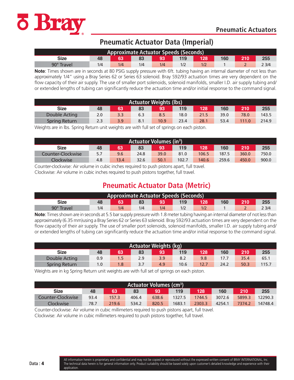

### **Pneumatic Actuator Data (Imperial)**

| <b>Approximate Actuator Speeds (Seconds)</b> |                                      |     |     |     |  |     |  |  |       |  |
|----------------------------------------------|--------------------------------------|-----|-----|-----|--|-----|--|--|-------|--|
| Size                                         | 255<br>128<br>160<br>63<br>119<br>93 |     |     |     |  |     |  |  |       |  |
| 90° Travel                                   | ۱/4                                  | 1/4 | 1/4 | 1/4 |  | 1/2 |  |  | 2 3/4 |  |

**Note**: Times shown are in seconds at 80 PSIG supply pressure with 6ft. tubing having an internal diameter of not less than approximately 1/4" using a Bray Series 62 or Series 63 solenoid. Bray S92/93 actuation times are very dependent on the flow capacity of their air supply. The use of smaller port solenoids, solenoid manifolds, smaller I.D. air supply tubing and/ or extended lengths of tubing can significantly reduce the actuation time and/or initial response to the command signal.

| <b>Actuator Weights (lbs)</b>                                          |     |     |     |      |      |      |      |       |       |
|------------------------------------------------------------------------|-----|-----|-----|------|------|------|------|-------|-------|
| 255<br>119<br>128<br>160<br>63<br>83<br>93<br>210<br><b>Size</b><br>48 |     |     |     |      |      |      |      |       |       |
| Double Acting                                                          | 2.0 | 3.3 |     | 8.5  | 18.0 | 21.5 | 39.0 | 78.0  | 143.5 |
| <b>Spring Return</b>                                                   | 2.3 | 3.9 | 8.1 | 10.9 | 23.4 | 28.1 | 53.4 | 111.0 | 214.9 |

Weights are in lbs. Spring Return unit weights are with full set of springs on each piston.

| <b>Actuator Volumes (in<sup>3</sup>)</b>                                              |     |     |      |      |      |       |       |       |       |
|---------------------------------------------------------------------------------------|-----|-----|------|------|------|-------|-------|-------|-------|
| 119<br>160<br>83<br>128<br>210<br>255<br>63<br><b>Size</b><br>48<br>93                |     |     |      |      |      |       |       |       |       |
| Counter-Clockwise                                                                     | 5.7 | 9.6 | 24.8 | 39.0 | 81.0 | 106.5 | 187.5 | 360.0 | 750.0 |
| Clockwise<br>50.1<br>140.6<br>259.6<br>900.0<br>102.7<br>450.0<br>4.8<br>32.6<br>13.4 |     |     |      |      |      |       |       |       |       |

Counter-clockwise: Air volume in cubic inches required to push pistons apart, full travel. Clockwise: Air volume in cubic inches required to push pistons together, full travel.

## **Pneumatic Actuator Data (Metric)**

| <b>Approximate Actuator Speeds (Seconds)</b> |                                |            |     |     |     |     |  |  |       |  |
|----------------------------------------------|--------------------------------|------------|-----|-----|-----|-----|--|--|-------|--|
| Size                                         | 128<br>255<br>160<br>119<br>48 |            |     |     |     |     |  |  |       |  |
| 90° Travel                                   | 1/4                            | $1/\Delta$ | 1/4 | 1/4 | 1/2 | 1/2 |  |  | 2 3/4 |  |

**Note**: Times shown are in seconds at 5.5 bar supply pressure with 1.8 meter tubing having an internal diameter of not less than approximately (6.35 mm)using a Bray Series 62 or Series 63 solenoid. Bray S92/93 actuation times are very dependent on the flow capacity of their air supply. The use of smaller port solenoids, solenoid manifolds, smaller I.D. air supply tubing and/ or extended lengths of tubing can significantly reduce the actuation time and/or initial response to the command signal.

| Actuator Weights (kg) |     |    |          |     |      |      |      |      |       |
|-----------------------|-----|----|----------|-----|------|------|------|------|-------|
| <b>Size</b>           | 48  | 63 | 83       | 93  | 119  | 128  | 160  | 210  | 255   |
| Double Acting         | 0.9 |    | 2.9      | 3.9 | 8.2  | 9.8  |      | 35.4 | 65.1  |
| Spring Return         | 1.0 |    | <u>.</u> | 4.9 | 10.6 | 12.7 | 24.2 | 50.3 | 115.7 |

Weights are in kg Spring Return unit weights are with full set of springs on each piston.

| <b>Actuator Volumes (cm<sup>3</sup>)</b> |      |       |       |       |        |        |        |            |         |  |  |
|------------------------------------------|------|-------|-------|-------|--------|--------|--------|------------|---------|--|--|
| <b>Size</b>                              | 48   | 63    | 83    | 93    | 119    | 128    | 160    | <b>210</b> | 255     |  |  |
| Counter-Clockwise                        | 93.4 | 157.3 | 406.4 | 638.6 | 1327.5 | 1744.5 | 3072.6 | 5899.3     | 12290.3 |  |  |
| Clockwise                                | 78.7 | 219.6 | 534.2 | 820.5 | 1683.1 | 2303.3 | 4254.1 | 7374.2     | 14748.4 |  |  |

Counter-clockwise: Air volume in cubic millimeters required to push pistons apart, full travel. Clockwise: Air volume in cubic millimeters required to push pistons together, full travel.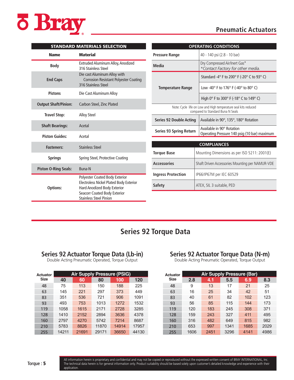

#### **Pneumatic Actuators**

|                             | <b>STANDARD MATERIALS SELECTION</b>                                                                                                      |                          |
|-----------------------------|------------------------------------------------------------------------------------------------------------------------------------------|--------------------------|
| <b>Name</b>                 | <b>Material</b>                                                                                                                          | <b>Pressure</b>          |
| <b>Body</b>                 | Extruded Aluminum Alloy, Anodized<br>316 Stainless Steel                                                                                 | <b>Media</b>             |
| <b>End Caps</b>             | Die cast Aluminum Alloy with<br><b>Corrosion Resistant Polyester Coating</b><br>316 Stainless Steel                                      | <b>Temp</b>              |
| <b>Pistons</b>              | Die Cast Aluminum Alloy                                                                                                                  |                          |
| <b>Output Shaft/Pinion:</b> | Carbon Steel, Zinc Plated                                                                                                                |                          |
| <b>Travel Stop:</b>         | <b>Alloy Steel</b>                                                                                                                       | Series 9                 |
| <b>Shaft Bearings:</b>      | Acetal                                                                                                                                   |                          |
| <b>Piston Guides:</b>       | Acetal                                                                                                                                   | Series 9                 |
| <b>Fasteners:</b>           | <b>Stainless Steel</b>                                                                                                                   |                          |
| <b>Springs</b>              | Spring Steel, Protective Coating                                                                                                         | <b>Torque I</b>          |
| <b>Piston O-Ring Seals:</b> | <b>Buna-N</b>                                                                                                                            | <b>Accesso</b>           |
| <b>Options:</b>             | Polyester Coated Body Exterior<br>Electroless Nickel Plated Body Exterior<br>Hard Anodized Body Exterior<br>Seacorr Coated Body Exterior | <b>Ingress</b><br>Safety |
|                             | <b>Stainless Steel Pinion</b>                                                                                                            |                          |

|                                                                                                     | <b>OPERATING CONDITIONS</b>                                               |  |  |  |  |
|-----------------------------------------------------------------------------------------------------|---------------------------------------------------------------------------|--|--|--|--|
| <b>Pressure Range</b>                                                                               | 40 - 140 psi (2.8 - 10 bar)                                               |  |  |  |  |
| Media                                                                                               | Dry Compressed Air/Inert Gas*<br>*Contact Factory for other media.        |  |  |  |  |
|                                                                                                     | Standard -4° F to 200° F (-20° C to 93° C)                                |  |  |  |  |
| <b>Temperature Range</b>                                                                            | Low -40 $\degree$ F to 176 $\degree$ F (-40 $\degree$ to 80 $\degree$ C)  |  |  |  |  |
|                                                                                                     | High $0^\circ$ F to 300 $^\circ$ F (-18 $^\circ$ C to 149 $^\circ$ C)     |  |  |  |  |
| Note: Cycle life on Low and High temperature seal kits reduced<br>compared to Standard Buna N Seals |                                                                           |  |  |  |  |
| Series 92 Double Acting                                                                             | Available in 90°, 135°, 180° Rotation                                     |  |  |  |  |
| Series 93 Spring Return                                                                             | Available in 90° Rotation<br>Operating Pressure 140 psig (10 bar) maximum |  |  |  |  |
|                                                                                                     |                                                                           |  |  |  |  |
|                                                                                                     | <b>COMPLIANCES</b>                                                        |  |  |  |  |
| <b>Torque Base</b>                                                                                  | Mounting Dimensions as per ISO 5211: 2001(E)                              |  |  |  |  |
| <b>Accessories</b>                                                                                  | Shaft Driven Accessories Mounting per NAMUR-VDE                           |  |  |  |  |
| <b>Ingress Protection</b>                                                                           | IP66/IP67M per IEC 60529                                                  |  |  |  |  |
| Safety                                                                                              | ATEX, SIL 3 suitable, PED                                                 |  |  |  |  |

## **Series 92 Torque Data**

#### **Series 92 Actuator Torque Data (Lb-in)**

Double Acting Pneumatic Operated, Torque Output

| Actuator    |       | <b>Air Supply Pressure (PSIG)</b> |       |       |       |  |  |  |  |  |  |  |
|-------------|-------|-----------------------------------|-------|-------|-------|--|--|--|--|--|--|--|
| <b>Size</b> | 40    | 60                                | 80    | 100   | 120   |  |  |  |  |  |  |  |
| 48          | 75    | 113                               | 150   | 188   | 225   |  |  |  |  |  |  |  |
| 63          | 145   | 221                               | 297   | 373   | 449   |  |  |  |  |  |  |  |
| 83          | 351   | 536                               | 721   | 906   | 1091  |  |  |  |  |  |  |  |
| 93          | 493   | 753                               | 1013  | 1272  | 1532  |  |  |  |  |  |  |  |
| 119         | 1058  | 1615                              | 2171  | 2728  | 3285  |  |  |  |  |  |  |  |
| 128         | 1410  | 2152                              | 2894  | 3636  | 4378  |  |  |  |  |  |  |  |
| 160         | 2797  | 4270                              | 5742  | 7214  | 8687  |  |  |  |  |  |  |  |
| 210         | 5783  | 8826                              | 11870 | 14914 | 17957 |  |  |  |  |  |  |  |
| 255         | 14211 | 21691                             | 29171 | 36650 | 44130 |  |  |  |  |  |  |  |

#### **Series 92 Actuator Torque Data (N-m)**

Double Acting Pneumatic Operated, Torque Output

| <b>Actuator</b> |      | <b>Air Supply Pressure (Bar)</b> |      |      |      |  |  |  |  |  |  |  |
|-----------------|------|----------------------------------|------|------|------|--|--|--|--|--|--|--|
| <b>Size</b>     | 2.8  | 4.1                              | 5.5  | 6.9  | 8.3  |  |  |  |  |  |  |  |
| 48              | 9    | 13                               | 17   | 21   | 25   |  |  |  |  |  |  |  |
| 63              | 16   | 25                               | 34   | 42   | 51   |  |  |  |  |  |  |  |
| 83              | 40   | 61                               | 82   | 102  | 123  |  |  |  |  |  |  |  |
| 93              | 56   | 85                               | 115  | 144  | 173  |  |  |  |  |  |  |  |
| 119             | 120  | 183                              | 245  | 308  | 371  |  |  |  |  |  |  |  |
| 128             | 159  | 243                              | 327  | 411  | 495  |  |  |  |  |  |  |  |
| 160             | 316  | 482                              | 649  | 815  | 982  |  |  |  |  |  |  |  |
| 210             | 653  | 997                              | 1341 | 1685 | 2029 |  |  |  |  |  |  |  |
| 255             | 1606 | 2451                             | 3296 | 4141 | 4986 |  |  |  |  |  |  |  |

All information herein is proprietary and confidential and may not be copied or reproduced without the expressed written consent of BRAY INTERNATIONAL, Inc. The technical data herein is for general information only. Product suitability should be based solely upon customer's detailed knowledge and experience with their application.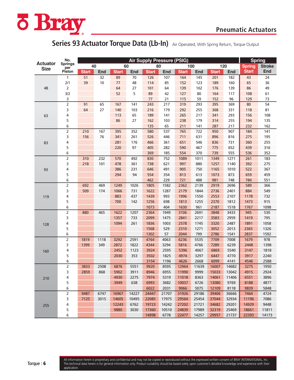

## Series 93 Actuator Torque Data (Lb-In) Air Operated, With Spring Return, Torque Output

|                 | No.                   |              | <b>Spring</b> |              |              |                                   |              |                |               |                |                |               |               |
|-----------------|-----------------------|--------------|---------------|--------------|--------------|-----------------------------------|--------------|----------------|---------------|----------------|----------------|---------------|---------------|
| <b>Actuator</b> | <b>Springs</b><br>per | 40           |               | 60           |              | <b>Air Supply Pressure (PSIG)</b> | 80           |                | 100           |                | 120            | <b>Spring</b> | <b>Stroke</b> |
| <b>Size</b>     | Piston                | <b>Start</b> | End           | <b>Start</b> | End          | <b>Start</b>                      | End          | <b>Start</b>   | End           | <b>Start</b>   | End            | <b>Start</b>  | End           |
|                 | 1                     | 51           | 32            | 89           | 70           | 126                               | 107          | 164            | 145           | 201            | 182            | 43            | 24            |
|                 | 2/1                   | 39           | 10            | 77           | 48           | 114                               | 85           | 152            | 123           | 189            | 160            | 65            | 36            |
| 48              | 2                     |              |               | 64           | 27           | 101                               | 64           | 139            | 102           | 176            | 139            | 86            | 49            |
|                 | 3/2                   |              |               | 52           | 5            | 89                                | 42           | 127            | 80            | 164            | 117            | 108           | 61            |
|                 | 3                     |              |               |              |              | 77                                | 21           | 115            | 59            | 152            | 96             | 129           | 73            |
|                 | $\overline{2}$        | 91           | 65            | 167          | 141          | 243                               | 217          | 319            | 293           | 395            | 369            | 80            | 54            |
|                 | 3                     | 64           | 27            | 140          | 103          | 216                               | 179          | 292            | 255           | 368            | 331            | 118           | 81            |
| 63              | 4                     |              |               | 113          | 65           | 189                               | 141          | 265            | 217           | 341            | 293            | 156           | 108           |
|                 | 5                     |              |               | 86           | 27           | 162                               | 103          | 238            | 179           | 314            | 255            | 194           | 135           |
|                 | 6                     |              |               |              |              | 135                               | 65           | 211            | 141           | 287            | 217            | 232           | 162           |
|                 | $\overline{c}$        | 210          | 167           | 395          | 352          | 580                               | 537          | 765            | 722           | 950            | 907            | 184           | 141           |
|                 | 3                     | 156          | 76            | 341          | 261          | 526                               | 446          | 711            | 631           | 896            | 816            | 275           | 195           |
| 83              | 4                     |              |               | 281          | 176          | 466                               | 361          | 651            | 546           | 836            | 731            | 360           | 255           |
|                 | 5                     |              |               | 220          | 97           | 405                               | 282          | 590            | 467           | 775            | 652            | 439           | 316           |
|                 | 6                     |              |               |              |              | 369                               | 185          | 554            | 370           | 739            | 555            | 536           | 352           |
|                 | 2                     | 310          | 232           | 570          | 492          | 830                               | 752          | 1089           | 1011          | 1349           | 1271           | 261           | 183           |
|                 | 3                     | 218          | 101           | 478          | 361          | 738                               | 621          | 997            | 880           | 1257           | 1140           | 392           | 275           |
| 93              | 4                     |              |               | 386          | 231          | 646                               | 491          | 905            | 750           | 1165           | 1010           | 522           | 367           |
|                 | 5                     |              |               | 294          | 94           | 554                               | 354          | 813            | 613           | 1073           | 873            | 659           | 459           |
|                 | 6                     |              |               |              |              | 462                               | 229          | 721            | 488           | 981            | 748            | 784           | 551           |
|                 |                       | 692          | 469           | 1249         | 1026         | 1805                              | 1582         | 2362           | 2139          | 2919           | 2696           | 589           | 366           |
|                 | 3                     | 509          | 174           | 1066         | 731          | 1622                              | 1287         | 2179           | 1844          | 2736           | 2401           | 884           | 549           |
| 119             | 4                     |              |               | 883          | 437          | 1439                              | 993          | 1996           | 1550          | 2553           | 2107           | 1178          | 732           |
|                 | 5                     |              |               | 700          | 142          | 1256                              | 698          | 1813           | 1255          | 2370           | 1812           | 1473          | 915           |
|                 | 6                     |              |               |              |              | 1073                              | 404          | 1630           | 961           | 2187           | 1518           | 1767          | 1098          |
|                 | 2                     | 880          | 465           | 1622         | 1207         | 2364                              | 1949         | 3106           | 2691          | 3848           | 3433           | 945           | 530           |
|                 | 3                     |              |               | 1357         | 733          | 2099                              | 1475         | 2841           | 2217          | 3583           | 2959           | 1419          | 795           |
| 128             | 4                     |              |               | 1094         | 261          | 1836                              | 1003         | 2578           | 1745          | 3320           | 2487           | 1891          | 1058          |
|                 | 5                     |              |               |              |              | 1568                              | 529          | 2310           | 1271          | 3052           | 2013           | 2365          | 1326          |
|                 | 6                     |              |               |              |              | 1302                              | 57           | 2044           | 799           | 2786           | 1541           | 2837          | 1592          |
|                 | $\overline{2}$        | 1819         | 1118          | 3292         | 2591         | 4764                              | 4063         | 6236           | 5535          | 7709           | 7008           | 1679          | 978           |
|                 | 3                     | 1399         | 349           | 2872         | 1822         | 4344                              | 3294         | 5816           | 4766          | 7289           | 6239           | 2448          | 1398          |
| 160             | 4                     |              |               | 2452         | 1123         | 3924                              | 2595         | 5396           | 4067          | 6869           | 5540           | 3147          | 1818          |
|                 | 5<br>6                |              |               | 2030         | 353          | 3502                              | 1825         | 4974<br>4626   | 3297          | 6447           | 4770           | 3917          | 2240          |
|                 | $\overline{2}$        |              |               |              |              | 3154                              | 1196         |                | 2668          | 6099           | 4141           | 4546          | 2588          |
|                 | 3                     | 3833<br>2859 | 2508<br>868   | 6876<br>5902 | 5551<br>3911 | 9920<br>8946                      | 8595<br>6955 | 12964<br>11990 | 11639<br>9999 | 16007<br>15033 | 14682<br>13042 | 3275<br>4915  | 1950<br>2924  |
|                 |                       |              |               |              | 2275         |                                   | 5319         |                |               |                |                |               | 3896          |
| 210             | 4<br>5                |              |               | 4930<br>3949 | 638          | 7974<br>6993                      | 3682         | 11018<br>10037 | 8363<br>6726  | 14061<br>13080 | 11406<br>9769  | 6551<br>8188  | 4877          |
|                 | 6                     |              |               |              |              | 6022                              | 2031         | 9066           | 5075          | 12109          | 8118           | 9839          | 5848          |
|                 | 2                     | 9487         | 6747          | 16967        | 14227        | 24447                             | 21707        | 31926          | 29186         | 39406          | 36666          | 7464          | 4724          |
|                 | 3                     | 7125         | 3015          | 14605        | 10495        | 22085                             | 17975        | 29564          | 25454         | 37044          | 32934          | 11196         | 7086          |
|                 | 4                     |              |               | 12243        | 6762         | 19723                             | 14242        | 27202          | 21721         | 34682          | 29201          | 14929         | 9448          |
| 255             | 5                     |              |               | 9880         | 3030         | 17360                             | 10510        | 24839          | 17989         | 32319          | 25469          | 18661         | 11811         |
|                 | 6                     |              |               |              |              | 14998                             | 6778         | 22477          | 14257         | 29957          | 21737          | 22393         | 14173         |
|                 |                       |              |               |              |              |                                   |              |                |               |                |                |               |               |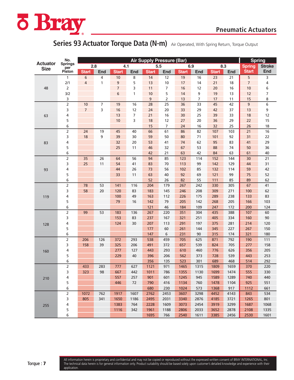

## Series 93 Actuator Torque Data (N-m) Air Operated, With Spring Return, Torque Output

|                                | No.                   |                | <b>Air Supply Pressure (Bar)</b> |                |                |              |                |              |                |              |            |                                |               |  |
|--------------------------------|-----------------------|----------------|----------------------------------|----------------|----------------|--------------|----------------|--------------|----------------|--------------|------------|--------------------------------|---------------|--|
| <b>Actuator</b><br><b>Size</b> | <b>Springs</b><br>per |                | 2.8                              | 4.1            |                |              | 5.5            | 6.9          |                |              | 8.3        | <b>Spring</b><br><b>Spring</b> | <b>Stroke</b> |  |
|                                | Piston                | <b>Start</b>   | End                              | <b>Start</b>   | End            | <b>Start</b> | <b>End</b>     | <b>Start</b> | End            | <b>Start</b> | End        | <b>Start</b>                   | End           |  |
|                                | 1                     | 6              | 4                                | 10             | 8              | 14           | 12             | 19           | 16             | 23           | 21         | 5                              | 3             |  |
|                                | 2/1                   | 4              | 1                                | 9              | 5              | 13           | 10             | 17           | 14             | 21           | 18         | 7                              | 4             |  |
| 48                             | 2                     |                |                                  | $\overline{7}$ | 3              | 11           | 7              | 16           | 12             | 20           | 16         | 10                             | 6             |  |
|                                | 3/2                   |                |                                  | 6              | 1              | 10           | 5              | 14           | 9              | 19           | 13         | 12                             | 7             |  |
|                                | 3                     |                |                                  |                |                | 9            | 2              | 13           | $\overline{7}$ | 17           | 11         | 15                             | 8             |  |
|                                | 2                     | 10             | 7                                | 19             | 16             | 28           | 25             | 36           | 33             | 45           | 42         | 9                              | 6             |  |
|                                | 3                     | $\overline{7}$ | 3                                | 16             | 12             | 24           | 20             | 33           | 29             | 42           | 37         | 13                             | 9             |  |
| 63                             | 4                     |                |                                  | 13             | $\overline{7}$ | 21           | 16             | 30           | 25             | 39           | 33         | 18                             | 12            |  |
|                                | 5                     |                |                                  | 10             | 3              | 18           | 12             | 27           | 20             | 36           | 29         | 22                             | 15            |  |
|                                | 6                     |                |                                  |                |                | 15           | $\overline{7}$ | 24           | 16             | 32           | 25         | 26                             | 18            |  |
|                                | 2                     | 24             | 19                               | 45             | 40             | 66           | 61             | 86           | 82             | 107          | 103        | 21                             | 16            |  |
|                                | 3                     | 18             | 9                                | 39             | 30             | 59           | 50             | 80           | 71             | 101          | 92         | 31                             | 22            |  |
| 83                             | 4                     |                |                                  | 32             | 20             | 53           | 41             | 74           | 62             | 95           | 83         | 41                             | 29            |  |
|                                | 5                     |                |                                  | 25             | 11             | 46           | 32             | 67           | 53             | 88           | 74         | 50                             | 36            |  |
|                                | 6                     |                |                                  |                |                | 42           | 21             | 63           | 42             | 84           | 63         | 61                             | 40            |  |
|                                | 2                     | 35             | 26                               | 64             | 56             | 94           | 85             | 123          | 114            | 152          | 144        | 30                             | 21            |  |
|                                | 3                     | 25             | 11                               | 54             | 41             | 83           | 70             | 113          | 99             | 142          | 129        | 44                             | 31            |  |
| 93                             | 4                     |                |                                  | 44             | 26             | 73           | 56             | 102          | 85             | 132          | 114        | 59                             | 42            |  |
|                                | 5                     |                |                                  | 33             | 11             | 63           | 40             | 92           | 69             | 121          | 99         | 75                             | 52            |  |
|                                | 6                     |                |                                  |                |                | 52           | 26             | 82           | 55             | 111          | 85         | 89                             | 62            |  |
|                                |                       | 78             | 53                               | 141            | 116            | 204          | 179            | 267          | 242            | 330          | 305        | 67                             | 41            |  |
|                                | 3                     | 58             | 20                               | 120            | 83             | 183          | 145            | 246          | 208            | 309          | 271        | 100                            | 62            |  |
| 119                            | 4                     |                |                                  | 100<br>79      | 49<br>16       | 163<br>142   | 112            | 226<br>205   | 175<br>142     | 289<br>268   | 238        | 133<br>166                     | 83<br>103     |  |
|                                | 5<br>6                |                |                                  |                |                | 121          | 79<br>46       | 184          | 109            | 247          | 205<br>172 | 200                            |               |  |
|                                |                       | 99             | 53                               | 183            | 136            | 267          | 220            | 351          | 304            | 435          | 388        | 107                            | 124<br>60     |  |
|                                | 3                     |                |                                  | 153            | 83             | 237          | 167            | 321          | 251            | 405          | 334        | 160                            | 90            |  |
|                                | 4                     |                |                                  | 124            | 30             | 207          | 113            | 291          | 197            | 375          | 281        | 214                            | 120           |  |
| 128                            | 5                     |                |                                  |                |                | 177          | 60             | 261          | 144            | 345          | 227        | 267                            | 150           |  |
|                                | 6                     |                |                                  |                |                | 147          | 6              | 231          | 90             | 315          | 174        | 321                            | 180           |  |
|                                | $\overline{2}$        | 206            | 126                              | 372            | 293            | 538          | 459            | 705          | 625            | 871          | 792        | 190                            | 111           |  |
|                                | 3                     | 158            | 39                               | 325            | 206            | 491          | 372            | 657          | 539            | 824          | 705        | 277                            | 158           |  |
| 160                            | 4                     |                |                                  | 277            | 127            | 443          | 293            | 610          | 460            | 776          | 626        | 356                            | 205           |  |
|                                | 5                     |                |                                  | 229            | 40             | 396          | 206            | 562          | 373            | 728          | 539        | 443                            | 253           |  |
|                                | 6                     |                |                                  |                |                | 356          | 135            | 523          | 301            | 689          | 468        | 514                            | 292           |  |
|                                | 2                     | 433            | 283                              | 777            | 627            | 1121         | 971            | 1465         | 1315           | 1809         | 1659       | 370                            | 220           |  |
|                                | 3                     | 323            | 98                               | 667            | 442            | 1011         | 786            | 1355         | 1130           | 1699         | 1474       | 555                            | 330           |  |
| 210                            | 4                     |                |                                  | 557            | 257            | 901          | 601            | 1245         | 945            | 1589         | 1289       | 740                            | 440           |  |
|                                | 5                     |                |                                  | 446            | 72             | 790          | 416            | 1134         | 760            | 1478         | 1104       | 925                            | 551           |  |
|                                | 6                     |                |                                  |                |                | 680          | 230            | 1024         | 573            | 1368         | 917        | 1112                           | 661           |  |
|                                | 2                     | 1072           | 762                              | 1917           | 1607           | 2762         | 2453           | 3607         | 3298           | 4452         | 4143       | 843                            | 534           |  |
|                                | 3                     | 805            | 341                              | 1650           | 1186           | 2495         | 2031           | 3340         | 2876           | 4185         | 3721       | 1265                           | 801           |  |
| 255                            | 4                     |                |                                  | 1383           | 764            | 2228         | 1609           | 3073         | 2454           | 3919         | 3299       | 1687                           | 1068          |  |
|                                | 5                     |                |                                  | 1116           | 342            | 1961         | 1188           | 2806         | 2033           | 3652         | 2878       | 2108                           | 1335          |  |
|                                | 6                     |                |                                  |                |                | 1695         | 766            | 2540         | 1611           | 3385         | 2456       | 2530                           | 1601          |  |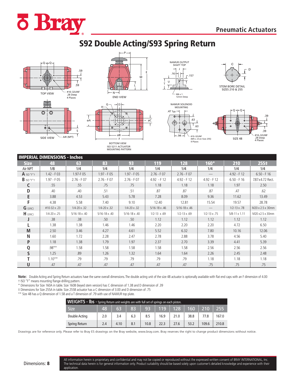

# S92 Double Acting/S93 Spring Return







ISO 5211 ACTUATOR MOUNTING PATTERN







.94

#10–32UNF



|               | <b>IMPERIAL DIMENSIONS - Inches</b> |                        |                        |                        |                       |                       |                       |                        |                   |
|---------------|-------------------------------------|------------------------|------------------------|------------------------|-----------------------|-----------------------|-----------------------|------------------------|-------------------|
| <b>Size</b>   | 48                                  | 63                     | 83                     | 93                     | 119                   | 128                   | $160*$                | 210                    | 255‡              |
| Air NPT       | 1/8                                 | 1/4                    | 1/4                    | 1/4                    | 1/4                   | 1/4                   | 1/4                   | 1/4                    | 1/4               |
| $A$ ISO "F" t | $1.42 - F 03$                       | 1.97-F05               | $1.97 - F05$           | $1.97 - F 05$          | $2.76 - F 07$         | $2.76 - F07$          |                       | $4.92 - F12$           | $6.50 - F$ 16     |
| $B$ ISO "F"t  | $1.97 - F 05$                       | $2.76 - F07$           | $2.76 - F07$           | $2.76 - F07$           | $4.92 - F12$          | $4.92 - F12$          | $4.92 - F12$          | $6.50 - F16$           | 7.87 x 4.72 Rect. |
|               | .55                                 | .55                    | .75                    | .75                    | 1.18                  | 1.18                  | 1.18                  | 1.97                   | 2.50              |
| D             | .40                                 | .40                    | .51                    | .51                    | .87                   | .87                   | .87                   | .47                    | .62               |
| E             | 3.88                                | 4.53                   | 5.43                   | 5.78                   | 7.28                  | 8.09                  | 9.36                  | 11.62                  | 13.49             |
| F             | 4.38                                | 5.58                   | 7.40                   | 9.10                   | 12.40                 | 12.81                 | 15.54                 | 19.57                  | 28.78             |
| $G$ (UNC)     | #10-32 x .23                        | $1/4 - 20x.32$         | $1/4 - 20x.32$         | $1/4 - 20x.32$         | $5/16 - 18x.46$       | $5/16 - 18x.46$       |                       | $1/2 - 13 \times .78$  | M20 x 2.5 x 30mm  |
| $H$ (UNC)     | $1/4 - 20x.25$                      | $5/16 - 18 \times .40$ | $5/16 - 18 \times .40$ | $5/16 - 18 \times .40$ | $1/2 - 13 \times .69$ | $1/2 - 13 \times .69$ | $1/2 - 13 \times .75$ | $5/8 - 11 \times 1.11$ | M20 x 2.5 x 30mm  |
|               | .38                                 | .38                    | .50                    | .50                    | 1.12                  | 1.12                  | 1.12                  | 1.12                   | 1.12              |
|               | 1.38                                | 1.38                   | 1.46                   | 1.46                   | 2.20                  | 2.20                  | 2.20                  | 4.72                   | 6.50              |
| M             | 2.50                                | 3.46                   | 4.27                   | 4.61                   | 5.52                  | 6.32                  | 7.80                  | 10.16                  | 12.06             |
| N             | 1.60                                | 1.72                   | 2.28                   | 2.47                   | 2.78                  | 2.88                  | 3.78                  | 4.56                   | 5.40              |
| P             | 1.18                                | 1.38                   | 1.79                   | 1.97                   | 2.37                  | 2.70                  | 3.39                  | 4.41                   | 5.39              |
| Q             | $.98***$                            | 1.58                   | 1.58                   | 1.58                   | 1.58                  | 1.58                  | 2.56                  | 2.56                   | 2.56              |
| S             | 1.25                                | .89                    | 1.26                   | 1.32                   | 1.64                  | 1.64                  | 2.26                  | 2.45                   | 2.48              |
|               | $1.10***$                           | .79                    | .79                    | .79                    | .79                   | .79                   | 1.18                  | 1.18                   | 1.18              |
| U             | .47                                 | .47                    | .47                    | .47                    | .47                   | .47                   | .75                   | .75                    | .75               |

**Note:** Double Acting and Spring Return actuators have the same overall dimensions. The double acting unit of the size 48 actuator is optionally available with flat end caps with an F dimension of 4.00 † ISO "F" means mounting flange-drilling pattern.

\* Dimensions for Size 160A in table. Size 160B (keyed stem version) has C dimension of 1.38 and D dimension of .39

‡ Dimensions for Size 255A in table. Size 255B actuator has a C dimension of 3.00 and D dimension of .75

\*\* Size 48 has a Q dimension of 1.58 and a T dimension of .79 with use of NAMUR top plate.

| WEIGHTS - Ibs - Spring Return unit weights are with full set of springs on each piston. |     |      |     |      |      |             |        |       |                  |  |  |  |  |
|-----------------------------------------------------------------------------------------|-----|------|-----|------|------|-------------|--------|-------|------------------|--|--|--|--|
| Size                                                                                    | 48  | 63   | 83  | 93   |      | $119$   128 | $-160$ | 210   | $\overline{255}$ |  |  |  |  |
| Double Acting                                                                           | 2.0 | 3.4  | 6.3 | 8.5  | 16.9 | 21.0        | 38.8   | 77.8  | 167.0            |  |  |  |  |
| Spring Return                                                                           | 2.4 | 4.10 | 8.1 | 10.8 | 22.3 | 27.6        | 53.2   | 109.6 | 210.8            |  |  |  |  |

Drawings are for reference only. Please refer to Bray ES drawings on the Bray website, www.bray.com. Bray reserves the right to change product dimensions without notice.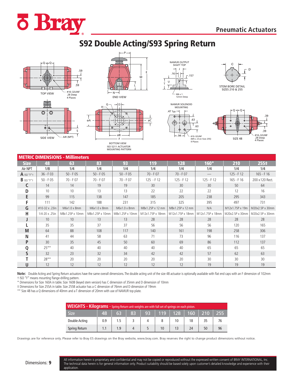

# S92 Double Acting/S93 Spring Return







ISO 5211 ACTUATOR MOUNTING PATTERN





.63 .63 .47 Typ. NAMUR SOLENOID **MOUNTING** 

.94

#10–32UNF

12mm Deep



|              |                 | <b>METRIC DIMENSIONS - Millimeters</b> |                 |                 |                  |                  |                  |                 |                 |
|--------------|-----------------|----------------------------------------|-----------------|-----------------|------------------|------------------|------------------|-----------------|-----------------|
| <b>Size</b>  | 48              | 63                                     | 83              | 93              | <b>119</b>       | 128              | $160*$           | 210             | 255‡            |
| Air NPT      | 1/8             | 1/4                                    | 1/4             | 1/4             | 1/4              | 1/4              | 1/4              | 1/4             | 1/4             |
| $A$ ISO "F"+ | $36 - F03$      | $50 - F 05$                            | $50 - F 05$     | $50 - F05$      | $70 - F07$       | $70 - F07$       |                  | $125 - F12$     | $165 - F16$     |
| $B$ iso "F"t | $50 - F 05$     | 70 - F 07                              | 70 - F 07       | $70 - F07$      | $125 - F12$      | $125 - F12$      | $125 - F12$      | $165 - F16$     | 200 x 120 Rect. |
| C            | 14              | 14                                     | 19              | 19              | 30               | 30               | 30               | 50              | 64              |
| D            | 10              | 10                                     | 13              | 13              | 22               | 22               | 22               | 12              | 16              |
| E            | 99              | 115                                    | 138             | 147             | 185              | 205              | 238              | 295             | 343             |
|              | 111             | 142                                    | 188             | 231             | 315              | 325              | 395              | 497             | 731             |
| G            | #10-32 x .23in  | M6x1.0 x 8mm                           | M6x1.0 x 8mm    | M6x1.0 x 8mm    | M8x1.25P x 12 mm | M8x1.25P x 12 mm | N/A              | M12x1.75P x 19m | M20x2.5P x 30mm |
| н            | 1/4-20 x .25in  | M8x1.25P x 10mm                        | M8x1.25P x 10mm | M8x1.25P x 10mm | M12x1.75P x 18mm | M12x1.75P x 18mm | M12x1.75P x 18mm | M20x2.5P x 30mm | M20x2.5P x 30mm |
|              | 10              | 10                                     | 13              | 13              | 28               | 28               | 28               | 28              | 28              |
|              | 35              | 35                                     | 37              | 37              | 56               | 56               | 56               | 120             | 165             |
| M            | 64              | 88                                     | 108             | 117             | 140              | 161              | 198              | 258             | 306             |
| N            | 41              | 44                                     | 58              | 63              | 71               | 73               | 96               | 116             | 137             |
| P            | 30 <sup>2</sup> | 35                                     | 45              | 50              | 60               | 69               | 86               | 112             | 137             |
| Q            | $25***$         | 40                                     | 40              | 40              | 40               | 40               | 65               | 65              | 65              |
| S            | 32              | 23                                     | 32              | 34              | 42               | 42               | 57               | 62              | 63              |
|              | $28***$         | 20                                     | 20              | 20              | 20               | 20               | 30               | 30              | 30              |
| U            | 12              | 12                                     | 12              | 12              | 12               | 12               | 19               | 19              | 19              |

Note: Double Acting and Spring Return actuators have the same overall dimensions. The double acting unit of the size 48 actuator is optionally available with flat end caps with an F dimension of 102mm † ISO "F" means mounting flange-drilling pattern.

\* Dimensions for Size 160A in table. Size 160B (keyed stem version) has C dimension of 35mm and D dimension of 10mm

‡ Dimensions for Size 255A in table. Size 255B actuator has a C dimension of 76mm and D dimension of 19mm

\*\* Size 48 has a Q dimensions of 40mm and a T dimension of 20mm with use of NAMUR top plate.

| WEIGHTS - Kilograms - Spring Return unit weights are with full set of springs on each piston. |     |                 |    |    |    |  |    |                                                 |       |  |  |  |  |
|-----------------------------------------------------------------------------------------------|-----|-----------------|----|----|----|--|----|-------------------------------------------------|-------|--|--|--|--|
| <b>Size</b>                                                                                   | 48  | 63 <sub>1</sub> | 83 | 93 |    |  |    | <sup>∣</sup>   119   128 <sup> </sup> 160   210 | - 255 |  |  |  |  |
| Double Acting                                                                                 | 0.9 |                 |    |    |    |  | 18 |                                                 |       |  |  |  |  |
| <b>Spring Return</b>                                                                          |     | 1.9             |    |    | 10 |  | 24 | 50                                              | 96    |  |  |  |  |

Drawings are for reference only. Please refer to Bray ES drawings on the Bray website, www.bray.com. Bray reserves the right to change product dimensions without notice.